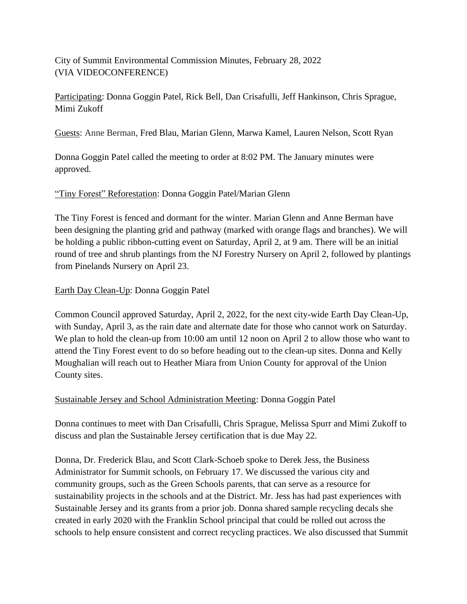City of Summit Environmental Commission Minutes, February 28, 2022 (VIA VIDEOCONFERENCE)

Participating: Donna Goggin Patel, Rick Bell, Dan Crisafulli, Jeff Hankinson, Chris Sprague, Mimi Zukoff

Guests: Anne Berman, Fred Blau, Marian Glenn, Marwa Kamel, Lauren Nelson, Scott Ryan

Donna Goggin Patel called the meeting to order at 8:02 PM. The January minutes were approved.

## "Tiny Forest" Reforestation: Donna Goggin Patel/Marian Glenn

The Tiny Forest is fenced and dormant for the winter. Marian Glenn and Anne Berman have been designing the planting grid and pathway (marked with orange flags and branches). We will be holding a public ribbon-cutting event on Saturday, April 2, at 9 am. There will be an initial round of tree and shrub plantings from the NJ Forestry Nursery on April 2, followed by plantings from Pinelands Nursery on April 23.

## Earth Day Clean-Up: Donna Goggin Patel

Common Council approved Saturday, April 2, 2022, for the next city-wide Earth Day Clean-Up, with Sunday, April 3, as the rain date and alternate date for those who cannot work on Saturday. We plan to hold the clean-up from 10:00 am until 12 noon on April 2 to allow those who want to attend the Tiny Forest event to do so before heading out to the clean-up sites. Donna and Kelly Moughalian will reach out to Heather Miara from Union County for approval of the Union County sites.

## Sustainable Jersey and School Administration Meeting: Donna Goggin Patel

Donna continues to meet with Dan Crisafulli, Chris Sprague, Melissa Spurr and Mimi Zukoff to discuss and plan the Sustainable Jersey certification that is due May 22.

Donna, Dr. Frederick Blau, and Scott Clark-Schoeb spoke to Derek Jess, the Business Administrator for Summit schools, on February 17. We discussed the various city and community groups, such as the Green Schools parents, that can serve as a resource for sustainability projects in the schools and at the District. Mr. Jess has had past experiences with Sustainable Jersey and its grants from a prior job. Donna shared sample recycling decals she created in early 2020 with the Franklin School principal that could be rolled out across the schools to help ensure consistent and correct recycling practices. We also discussed that Summit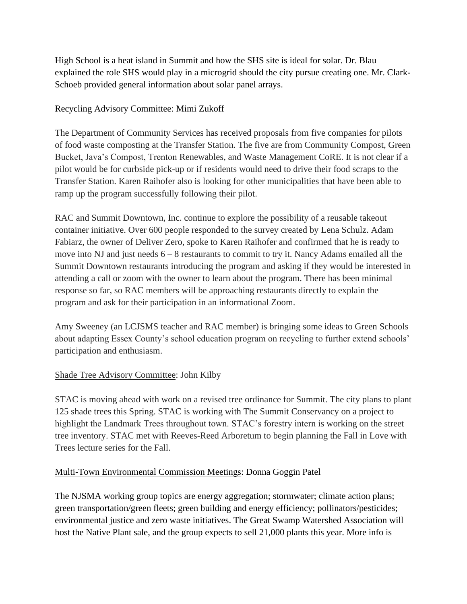High School is a heat island in Summit and how the SHS site is ideal for solar. Dr. Blau explained the role SHS would play in a microgrid should the city pursue creating one. Mr. Clark-Schoeb provided general information about solar panel arrays.

## Recycling Advisory Committee: Mimi Zukoff

The Department of Community Services has received proposals from five companies for pilots of food waste composting at the Transfer Station. The five are from Community Compost, Green Bucket, Java's Compost, Trenton Renewables, and Waste Management CoRE. It is not clear if a pilot would be for curbside pick-up or if residents would need to drive their food scraps to the Transfer Station. Karen Raihofer also is looking for other municipalities that have been able to ramp up the program successfully following their pilot.

RAC and Summit Downtown, Inc. continue to explore the possibility of a reusable takeout container initiative. Over 600 people responded to the survey created by Lena Schulz. Adam Fabiarz, the owner of Deliver Zero, spoke to Karen Raihofer and confirmed that he is ready to move into NJ and just needs  $6 - 8$  restaurants to commit to try it. Nancy Adams emailed all the Summit Downtown restaurants introducing the program and asking if they would be interested in attending a call or zoom with the owner to learn about the program. There has been minimal response so far, so RAC members will be approaching restaurants directly to explain the program and ask for their participation in an informational Zoom.

Amy Sweeney (an LCJSMS teacher and RAC member) is bringing some ideas to Green Schools about adapting Essex County's school education program on recycling to further extend schools' participation and enthusiasm.

# Shade Tree Advisory Committee: John Kilby

STAC is moving ahead with work on a revised tree ordinance for Summit. The city plans to plant 125 shade trees this Spring. STAC is working with The Summit Conservancy on a project to highlight the Landmark Trees throughout town. STAC's forestry intern is working on the street tree inventory. STAC met with Reeves-Reed Arboretum to begin planning the Fall in Love with Trees lecture series for the Fall.

## Multi-Town Environmental Commission Meetings: Donna Goggin Patel

The NJSMA working group topics are energy aggregation; stormwater; climate action plans; green transportation/green fleets; green building and energy efficiency; pollinators/pesticides; environmental justice and zero waste initiatives. The Great Swamp Watershed Association will host the Native Plant sale, and the group expects to sell 21,000 plants this year. More info is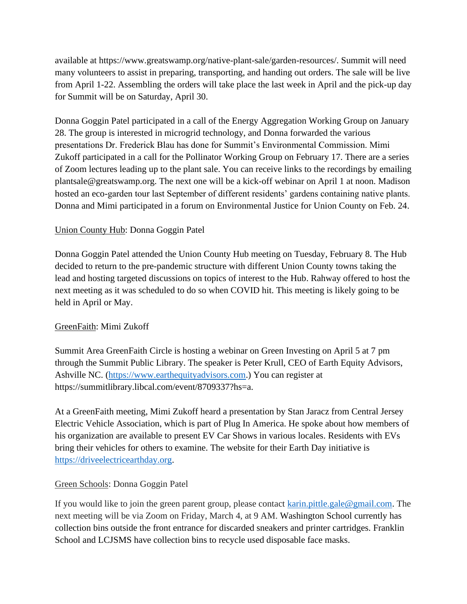available at https://www.greatswamp.org/native-plant-sale/garden-resources/. Summit will need many volunteers to assist in preparing, transporting, and handing out orders. The sale will be live from April 1-22. Assembling the orders will take place the last week in April and the pick-up day for Summit will be on Saturday, April 30.

Donna Goggin Patel participated in a call of the Energy Aggregation Working Group on January 28. The group is interested in microgrid technology, and Donna forwarded the various presentations Dr. Frederick Blau has done for Summit's Environmental Commission. Mimi Zukoff participated in a call for the Pollinator Working Group on February 17. There are a series of Zoom lectures leading up to the plant sale. You can receive links to the recordings by emailing plantsale@greatswamp.org. The next one will be a kick-off webinar on April 1 at noon. Madison hosted an eco-garden tour last September of different residents' gardens containing native plants. Donna and Mimi participated in a forum on Environmental Justice for Union County on Feb. 24.

## Union County Hub: Donna Goggin Patel

Donna Goggin Patel attended the Union County Hub meeting on Tuesday, February 8. The Hub decided to return to the pre-pandemic structure with different Union County towns taking the lead and hosting targeted discussions on topics of interest to the Hub. Rahway offered to host the next meeting as it was scheduled to do so when COVID hit. This meeting is likely going to be held in April or May.

## GreenFaith: Mimi Zukoff

Summit Area GreenFaith Circle is hosting a webinar on Green Investing on April 5 at 7 pm through the Summit Public Library. The speaker is Peter Krull, CEO of Earth Equity Advisors, Ashville NC. [\(https://www.earthequityadvisors.com.](https://www.earthequityadvisors.com/)) You can register at https://summitlibrary.libcal.com/event/8709337?hs=a.

At a GreenFaith meeting, Mimi Zukoff heard a presentation by Stan Jaracz from Central Jersey Electric Vehicle Association, which is part of Plug In America. He spoke about how members of his organization are available to present EV Car Shows in various locales. Residents with EVs bring their vehicles for others to examine. The website for their Earth Day initiative is [https://driveelectricearthday.org.](https://driveelectricearthday.org/)

## Green Schools: Donna Goggin Patel

If you would like to join the green parent group, please contact [karin.pittle.gale@gmail.com.](mailto:karin.pittle.gale@gmail.com) The next meeting will be via Zoom on Friday, March 4, at 9 AM. Washington School currently has collection bins outside the front entrance for discarded sneakers and printer cartridges. Franklin School and LCJSMS have collection bins to recycle used disposable face masks.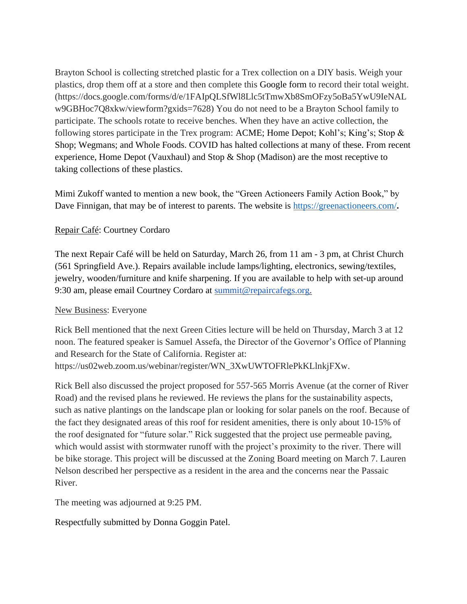Brayton School is collecting stretched plastic for a Trex collection on a DIY basis. Weigh your plastics, drop them off at a store and then complete this Google form to record their total weight. (https://docs.google.com/forms/d/e/1FAIpQLSfWl8Llc5tTmwXb8SmOFzy5oBa5YwU9IeNAL w9GBHoc7Q8xkw/viewform?gxids=7628) You do not need to be a Brayton School family to participate. The schools rotate to receive benches. When they have an active collection, the following stores participate in the Trex program: ACME; Home Depot; Kohl's; King's; Stop & Shop; Wegmans; and Whole Foods. COVID has halted collections at many of these. From recent experience, Home Depot (Vauxhaul) and Stop & Shop (Madison) are the most receptive to taking collections of these plastics.

Mimi Zukoff wanted to mention a new book, the "Green Actioneers Family Action Book," by Dave Finnigan, that may be of interest to parents. The website is **https://greenactioneers.com/**.

#### Repair Café: Courtney Cordaro

The next Repair Café will be held on Saturday, March 26, from 11 am - 3 pm, at Christ Church (561 Springfield Ave.). Repairs available include lamps/lighting, electronics, sewing/textiles, jewelry, wooden/furniture and knife sharpening. If you are available to help with set-up around 9:30 am, please email Courtney Cordaro at [summit@repaircafegs.org.](mailto:summit@repaircafegs.org)

#### New Business: Everyone

Rick Bell mentioned that the next Green Cities lecture will be held on Thursday, March 3 at 12 noon. The featured speaker is Samuel Assefa, the Director of the Governor's Office of Planning and Research for the State of California. Register at: https://us02web.zoom.us/webinar/register/WN\_3XwUWTOFRlePkKLlnkjFXw.

Rick Bell also discussed the project proposed for 557-565 Morris Avenue (at the corner of River Road) and the revised plans he reviewed. He reviews the plans for the sustainability aspects, such as native plantings on the landscape plan or looking for solar panels on the roof. Because of the fact they designated areas of this roof for resident amenities, there is only about 10-15% of the roof designated for "future solar." Rick suggested that the project use permeable paving, which would assist with stormwater runoff with the project's proximity to the river. There will be bike storage. This project will be discussed at the Zoning Board meeting on March 7. Lauren Nelson described her perspective as a resident in the area and the concerns near the Passaic River.

The meeting was adjourned at 9:25 PM.

Respectfully submitted by Donna Goggin Patel.